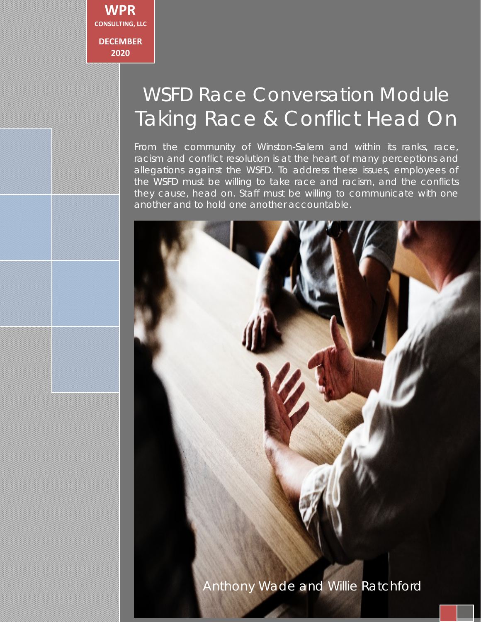

# WSFD Race Conversation Module *Taking Race & Conflict Head On*

From the community of Winston-Salem and within its ranks, race, racism and conflict resolution is at the heart of many perceptions and allegations against the WSFD. To address these issues, employees of the WSFD must be willing to take race and racism, and the conflicts they cause, head on. Staff must be willing to communicate with one another and to hold one another accountable.

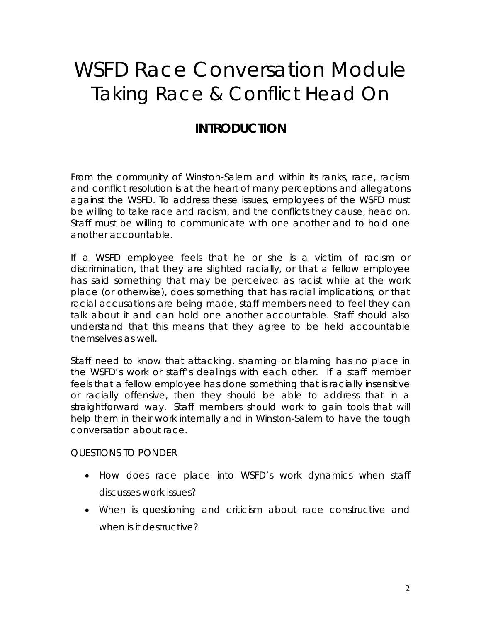# WSFD Race Conversation Module *Taking Race & Conflict Head On*

## *INTRODUCTION*

From the community of Winston-Salem and within its ranks, race, racism and conflict resolution is at the heart of many perceptions and allegations against the WSFD. To address these issues, employees of the WSFD must be willing to take race and racism, and the conflicts they cause, head on. Staff must be willing to communicate with one another and to hold one another accountable.

If a WSFD employee feels that he or she is a victim of racism or discrimination, that they are slighted racially, or that a fellow employee has said something that may be perceived as racist while at the work place (or otherwise), does something that has racial implications, or that racial accusations are being made, staff members need to feel they can talk about it and can hold one another accountable. Staff should also understand that this means that they agree to be held accountable themselves as well.

Staff need to know that attacking, shaming or blaming has no place in the WSFD's work or staff's dealings with each other. If a staff member feels that a fellow employee has done something that is racially insensitive or racially offensive, then they should be able to address that in a straightforward way. Staff members should work to gain tools that will help them in their work internally and in Winston-Salem to have the tough conversation about race.

#### *QUESTIONS TO PONDER*

- How does race place into WSFD's work dynamics when staff discusses work issues?
- When is questioning and criticism about race constructive and when is it destructive?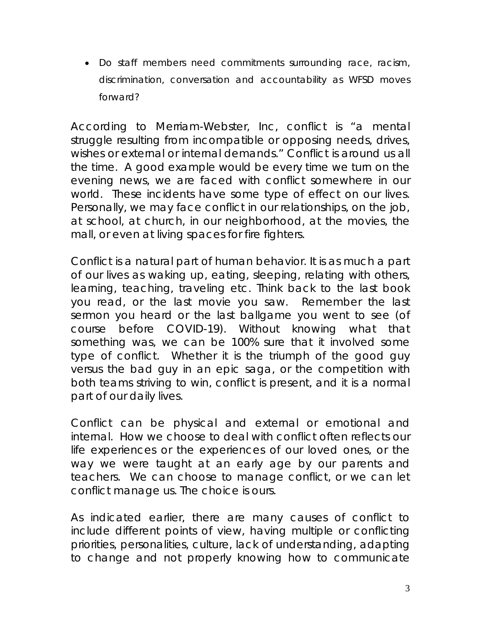• Do staff members need commitments surrounding race, racism, discrimination, conversation and accountability as WFSD moves forward?

According to Merriam-Webster, Inc, conflict is "a mental struggle resulting from incompatible or opposing needs, drives, wishes or external or internal demands." Conflict is around us all the time. A good example would be every time we turn on the evening news, we are faced with conflict somewhere in our world. These incidents have some type of effect on our lives. Personally, we may face conflict in our relationships, on the job, at school, at church, in our neighborhood, at the movies, the mall, or even at living spaces for fire fighters.

Conflict is a natural part of human behavior. It is as much a part of our lives as waking up, eating, sleeping, relating with others, learning, teaching, traveling etc. Think back to the last book you read, or the last movie you saw. Remember the last sermon you heard or the last ballgame you went to see (of course before COVID-19). Without knowing what that something was, we can be 100% sure that it involved some type of conflict. Whether it is the triumph of the good guy versus the bad guy in an epic saga, or the competition with both teams striving to win, conflict is present, and it is a normal part of our daily lives.

Conflict can be physical and external or emotional and internal. How we choose to deal with conflict often reflects our life experiences or the experiences of our loved ones, or the way we were taught at an early age by our parents and teachers. We can choose to manage conflict, or we can let conflict manage us. The choice is ours.

As indicated earlier, there are many causes of conflict to include different points of view, having multiple or conflicting priorities, personalities, culture, lack of understanding, adapting to change and not properly knowing how to communicate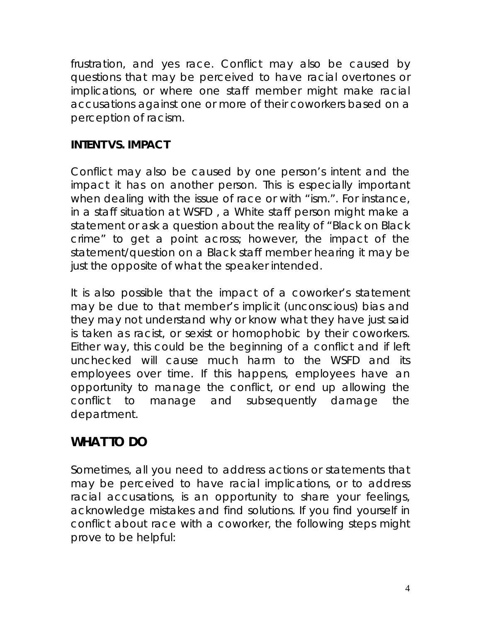frustration, and yes race. Conflict may also be caused by questions that may be perceived to have racial overtones or implications, or where one staff member might make racial accusations against one or more of their coworkers based on a perception of racism.

#### *INTENT VS. IMPACT*

Conflict may also be caused by one person's intent and the impact it has on another person. This is especially important when dealing with the issue of race or with "ism.". For instance, in a staff situation at WSFD , a White staff person might make a statement or ask a question about the reality of "Black on Black crime" to get a point across; however, the impact of the statement/question on a Black staff member hearing it may be just the opposite of what the speaker intended.

It is also possible that the impact of a coworker's statement may be due to that member's implicit (unconscious) bias and they may not understand why or know what they have just said is taken as racist, or sexist or homophobic by their coworkers. Either way, this could be the beginning of a conflict and if left unchecked will cause much harm to the WSFD and its employees over time. If this happens, employees have an opportunity to manage the conflict, or end up allowing the conflict to manage and subsequently damage the department.

## *WHAT TO DO*

Sometimes, all you need to address actions or statements that may be perceived to have racial implications, or to address racial accusations, is an opportunity to share your feelings, acknowledge mistakes and find solutions. If you find yourself in conflict about race with a coworker, the following steps might prove to be helpful: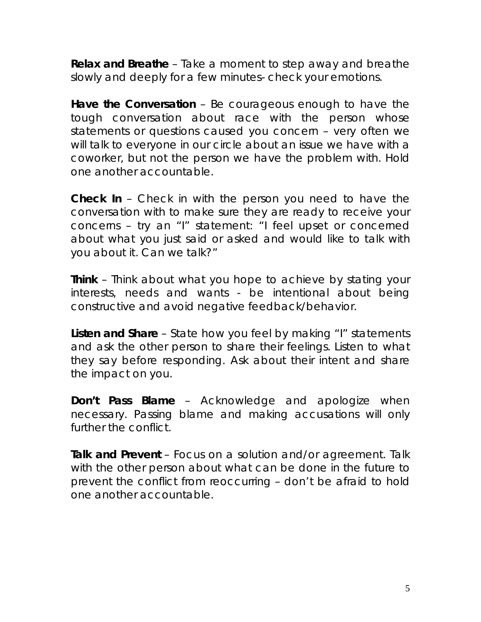**Relax and Breathe** – Take a moment to step away and breathe slowly and deeply for a few minutes- check your emotions.

**Have the Conversation** – Be courageous enough to have the tough conversation about race with the person whose statements or questions caused you concern – very often we will talk to everyone in our circle about an issue we have with a coworker, but not the person we have the problem with. Hold one another accountable.

**Check In** – Check in with the person you need to have the conversation with to make sure they are ready to receive your concerns – try an "I" statement: *"I feel upset or concerned about what you just said or asked and would like to talk with you about it. Can we talk?"*

**Think** – Think about what you hope to achieve by stating your interests, needs and wants - be intentional about being constructive and avoid negative feedback/behavior.

**Listen and Share** – State how you feel by making "I" statements and ask the other person to share their feelings. Listen to what they say before responding. Ask about their intent and share the impact on you.

**Don't Pass Blame** – Acknowledge and apologize when necessary. Passing blame and making accusations will only further the conflict.

**Talk and Prevent** – Focus on a solution and/or agreement. Talk with the other person about what can be done in the future to prevent the conflict from reoccurring – don't be afraid to hold one another accountable.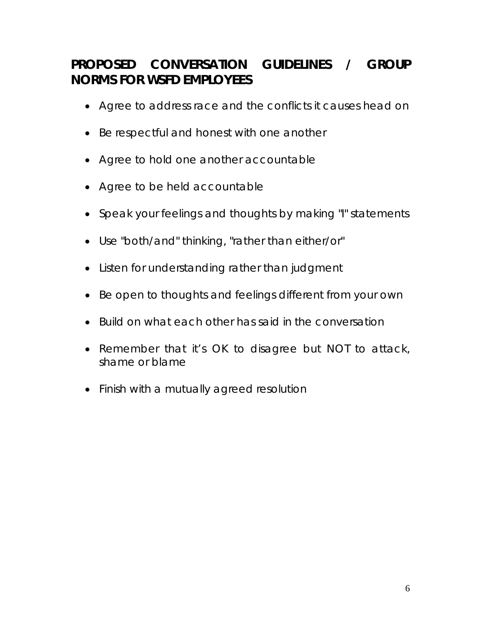## *PROPOSED CONVERSATION GUIDELINES / GROUP NORMS FOR WSFD EMPLOYEES*

- Agree to address race and the conflicts it causes head on
- Be respectful and honest with one another
- Agree to hold one another accountable
- Agree to be held accountable
- Speak your feelings and thoughts by making "I" statements
- Use "both/and" thinking, "rather than either/or"
- Listen for understanding rather than judgment
- Be open to thoughts and feelings different from your own
- Build on what each other has said in the conversation
- Remember that it's OK to disagree but NOT to attack, shame or blame
- Finish with a mutually agreed resolution